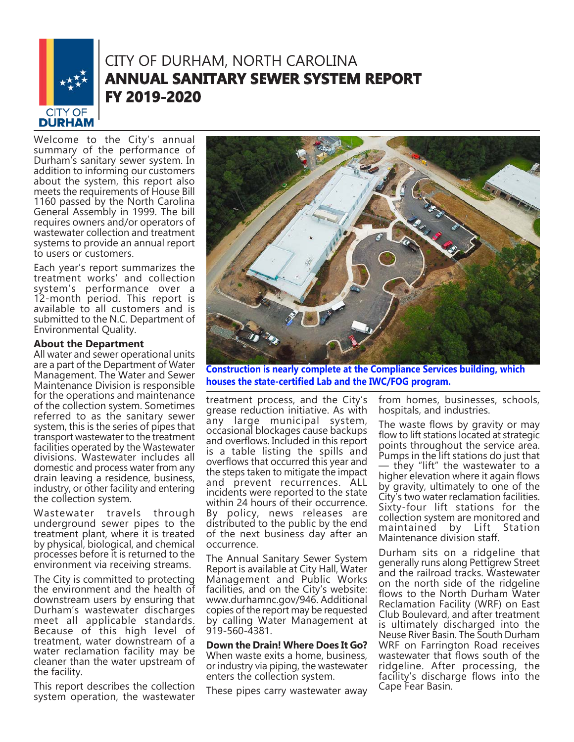

## CITY OF DURHAM, NORTH CAROLINA **ANNUAL SANITARY SEWER SYSTEM REPORT FY 2019-2020**

Welcome to the City's annual summary of the performance of Durham's sanitary sewer system. In addition to informing our customers about the system, this report also meets the requirements of House Bill 1160 passed by the North Carolina General Assembly in 1999. The bill requires owners and/or operators of wastewater collection and treatment systems to provide an annual report to users or customers.

Each year's report summarizes the treatment works' and collection system's performance over a 12-month period. This report is available to all customers and is submitted to the N.C. Department of Environmental Quality.

#### **About the Department**

All water and sewer operational units are a part of the Department of Water Management. The Water and Sewer Maintenance Division is responsible for the operations and maintenance of the collection system. Sometimes referred to as the sanitary sewer system, this is the series of pipes that transport wastewater to the treatment facilities operated by the Wastewater divisions. Wastewater includes all domestic and process water from any drain leaving a residence, business, industry, or other facility and entering the collection system.

Wastewater travels through underground sewer pipes to the treatment plant, where it is treated by physical, biological, and chemical processes before it is returned to the environment via receiving streams.

The City is committed to protecting the environment and the health of downstream users by ensuring that Durham's wastewater discharges meet all applicable standards. Because of this high level of treatment, water downstream of a water reclamation facility may be cleaner than the water upstream of the facility.

This report describes the collection system operation, the wastewater



**Construction is nearly complete at the Compliance Services building, which houses the state-certified Lab and the IWC/FOG program.**

treatment process, and the City's grease reduction initiative. As with any large municipal system, occasional blockages cause backups and overflows. Included in this report is a table listing the spills and overflows that occurred this year and the steps taken to mitigate the impact and prevent recurrences. ALL incidents were reported to the state within 24 hours of their occurrence. By policy, news releases are distributed to the public by the end of the next business day after an occurrence.

The Annual Sanitary Sewer System Report is available at City Hall, Water Management and Public Works facilities, and on the City's website: www.durhamnc.gov/946. Additional copies of the report may be requested by calling Water Management at 919-560-4381.

**Down the Drain! Where Does It Go?** When waste exits a home, business, or industry via piping, the wastewater enters the collection system.

These pipes carry wastewater away

from homes, businesses, schools, hospitals, and industries.

The waste flows by gravity or may flow to lift stations located at strategic points throughout the service area. Pumps in the lift stations do just that — they "lift" the wastewater to a higher elevation where it again flows by gravity, ultimately to one of the City's two water reclamation facilities. Sixty-four lift stations for the collection system are monitored and maintained by Lift Station Maintenance division staff.

Durham sits on a ridgeline that generally runs along Pettigrew Street and the railroad tracks. Wastewater on the north side of the ridgeline flows to the North Durham Water Reclamation Facility (WRF) on East Club Boulevard, and after treatment is ultimately discharged into the Neuse River Basin. The South Durham WRF on Farrington Road receives wastewater that flows south of the ridgeline. After processing, the facility's discharge flows into the Cape Fear Basin.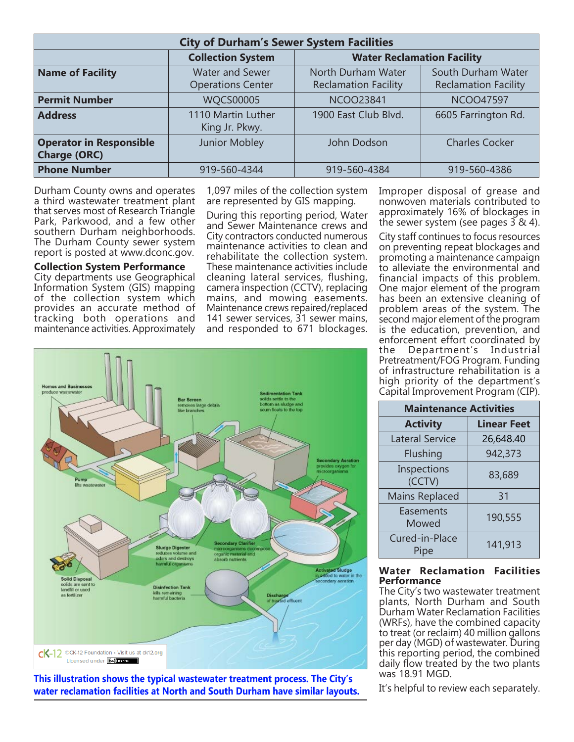| <b>City of Durham's Sewer System Facilities</b>       |                                                    |                                                   |                                                   |  |
|-------------------------------------------------------|----------------------------------------------------|---------------------------------------------------|---------------------------------------------------|--|
|                                                       | <b>Collection System</b>                           | <b>Water Reclamation Facility</b>                 |                                                   |  |
| <b>Name of Facility</b>                               | <b>Water and Sewer</b><br><b>Operations Center</b> | North Durham Water<br><b>Reclamation Facility</b> | South Durham Water<br><b>Reclamation Facility</b> |  |
| <b>Permit Number</b>                                  | <b>WQCS00005</b>                                   | <b>NCOO23841</b>                                  | <b>NCOO47597</b>                                  |  |
| <b>Address</b>                                        | 1110 Martin Luther<br>King Jr. Pkwy.               | 1900 East Club Blvd.                              | 6605 Farrington Rd.                               |  |
| <b>Operator in Responsible</b><br><b>Charge (ORC)</b> | Junior Mobley                                      | John Dodson                                       | <b>Charles Cocker</b>                             |  |
| <b>Phone Number</b>                                   | 919-560-4344                                       | 919-560-4384                                      | 919-560-4386                                      |  |

Durham County owns and operates a third wastewater treatment plant that serves most of Research Triangle Park, Parkwood, and a few other southern Durham neighborhoods. The Durham County sewer system report is posted at www.dconc.gov.

**Collection System Performance** City departments use Geographical Information System (GIS) mapping of the collection system which provides an accurate method of tracking both operations and maintenance activities. Approximately

1,097 miles of the collection system are represented by GIS mapping.

During this reporting period, Water and Sewer Maintenance crews and City contractors conducted numerous maintenance activities to clean and rehabilitate the collection system. These maintenance activities include cleaning lateral services, flushing, camera inspection (CCTV), replacing mains, and mowing easements. Maintenance crews repaired/replaced 141 sewer services, 31 sewer mains, and responded to 671 blockages. Improper disposal of grease and nonwoven materials contributed to approximately 16% of blockages in the sewer system (see pages  $3 \& 4$ ).

City staff continues to focus resources on preventing repeat blockages and promoting a maintenance campaign to alleviate the environmental and financial impacts of this problem. One major element of the program has been an extensive cleaning of problem areas of the system. The second major element of the program is the education, prevention, and enforcement effort coordinated by the Department's Industrial Pretreatment/FOG Program. Funding of infrastructure rehabilitation is a high priority of the department's Capital Improvement Program (CIP).

| <b>Maintenance Activities</b> |                    |  |  |  |
|-------------------------------|--------------------|--|--|--|
| <b>Activity</b>               | <b>Linear Feet</b> |  |  |  |
| <b>Lateral Service</b>        | 26,648.40          |  |  |  |
| Flushing                      | 942,373            |  |  |  |
| Inspections<br>(CCTV)         | 83,689             |  |  |  |
| <b>Mains Replaced</b>         | 31                 |  |  |  |
| Easements<br>Mowed            | 190,555            |  |  |  |
| Cured-in-Place<br>Pipe        | 141,913            |  |  |  |

#### **Water Reclamation Facilities Performance**

The City's two wastewater treatment plants, North Durham and South Durham Water Reclamation Facilities (WRFs), have the combined capacity to treat (or reclaim) 40 million gallons per day (MGD) of wastewater. During this reporting period, the combined daily flow treated by the two plants was 18.91 MGD.

It's helpful to review each separately.



**This illustration shows the typical wastewater treatment process. The City's water reclamation facilities at North and South Durham have similar layouts.**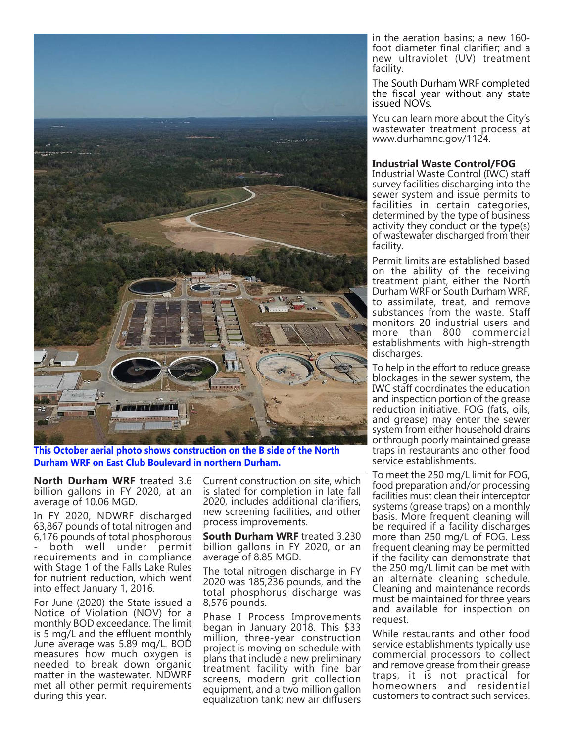

**This October aerial photo shows construction on the B side of the North Durham WRF on East Club Boulevard in northern Durham.**

**North Durham WRF** treated 3.6 billion gallons in FY 2020, at an average of 10.06 MGD.

In FY 2020, NDWRF discharged 63,867 pounds of total nitrogen and 6,176 pounds of total phosphorous - both well under permit requirements and in compliance with Stage 1 of the Falls Lake Rules for nutrient reduction, which went into effect January 1, 2016.

For June (2020) the State issued a Notice of Violation (NOV) for a monthly BOD exceedance. The limit is 5 mg/L and the effluent monthly June average was 5.89 mg/L. BOD measures how much oxygen is needed to break down organic matter in the wastewater. NDWRF met all other permit requirements during this year.

Current construction on site, which is slated for completion in late fall 2020, includes additional clarifiers, new screening facilities, and other process improvements.

**South Durham WRF** treated 3.230 billion gallons in FY 2020, or an average of 8.85 MGD.

The total nitrogen discharge in FY 2020 was  $185,236$  pounds, and the total phosphorus discharge was 8,576 pounds.

Phase I Process Improvements began in January 2018. This \$33 million, three-year construction project is moving on schedule with plans that include a new preliminary treatment facility with fine bar screens, modern grit collection equipment, and a two million gallon equalization tank; new air diffusers

in the aeration basins; a new 160 foot diameter final clarifier; and a new ultraviolet (UV) treatment facility.

The South Durham WRF completed the fiscal year without any state issued NOVs.

You can learn more about the City's wastewater treatment process at www.durhamnc.gov/1124.

#### **Industrial Waste Control/FOG**

Industrial Waste Control (IWC) staff survey facilities discharging into the sewer system and issue permits to facilities in certain categories, determined by the type of business activity they conduct or the type(s) of wastewater discharged from their facility.

Permit limits are established based on the ability of the receiving treatment plant, either the North Durham WRF or South Durham WRF, to assimilate, treat, and remove substances from the waste. Staff monitors 20 industrial users and more than 800 commercial establishments with high-strength discharges.

To help in the effort to reduce grease blockages in the sewer system, the IWC staff coordinates the education and inspection portion of the grease reduction initiative. FOG (fats, oils, and grease) may enter the sewer system from either household drains or through poorly maintained grease traps in restaurants and other food service establishments.

To meet the 250 mg/L limit for FOG, food preparation and/or processing facilities must clean their interceptor systems (grease traps) on a monthly basis. More frequent cleaning will be required if a facility discharges more than 250 mg/L of FOG. Less frequent cleaning may be permitted if the facility can demonstrate that the 250 mg/L limit can be met with an alternate cleaning schedule. Cleaning and maintenance records must be maintained for three years and available for inspection on request.

While restaurants and other food service establishments typically use commercial processors to collect and remove grease from their grease traps, it is not practical for homeowners and residential customers to contract such services.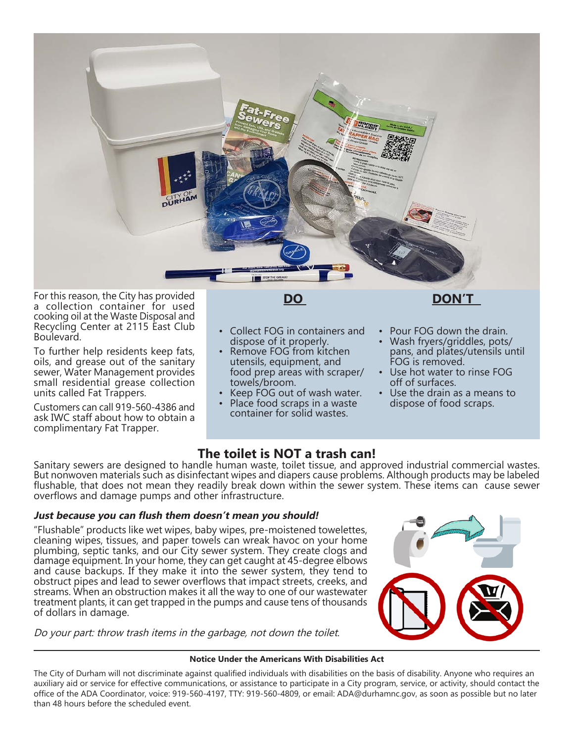

For this reason, the City has provided a collection container for used cooking oil at the Waste Disposal and Recycling Center at 2115 East Club Boulevard.

To further help residents keep fats, oils, and grease out of the sanitary sewer, Water Management provides small residential grease collection units called Fat Trappers.

Customers can call 919-560-4386 and ask IWC staff about how to obtain a complimentary Fat Trapper.

**DO**

- Collect FOG in containers and dispose of it properly.
- Remove FOG from kitchen utensils, equipment, and food prep areas with scraper/ towels/broom.
- Keep FOG out of wash water.
- Place food scraps in a waste container for solid wastes.

### **DON'T**

- Pour FOG down the drain.
- Wash fryers/griddles, pots/ pans, and plates/utensils until FOG is removed.
- Use hot water to rinse FOG off of surfaces.
- Use the drain as a means to dispose of food scraps.

### **The toilet is NOT a trash can!**

Sanitary sewers are designed to handle human waste, toilet tissue, and approved industrial commercial wastes. But nonwoven materials such as disinfectant wipes and diapers cause problems. Although products may be labeled flushable, that does not mean they readily break down within the sewer system. These items can cause sewer overflows and damage pumps and other infrastructure.

#### **Just because you can flush them doesn't mean you should!**

"Flushable" products like wet wipes, baby wipes, pre-moistened towelettes, cleaning wipes, tissues, and paper towels can wreak havoc on your home plumbing, septic tanks, and our City sewer system. They create clogs and damage equipment. In your home, they can get caught at 45-degree elbows and cause backups. If they make it into the sewer system, they tend to obstruct pipes and lead to sewer overflows that impact streets, creeks, and streams. When an obstruction makes it all the way to one of our wastewater treatment plants, it can get trapped in the pumps and cause tens of thousands of dollars in damage.

Do your part: throw trash items in the garbage, not down the toilet.



#### **Notice Under the Americans With Disabilities Act**

The City of Durham will not discriminate against qualified individuals with disabilities on the basis of disability. Anyone who requires an auxiliary aid or service for effective communications, or assistance to participate in a City program, service, or activity, should contact the office of the ADA Coordinator, voice: 919-560-4197, TTY: 919-560-4809, or email: ADA@durhamnc.gov, as soon as possible but no later than 48 hours before the scheduled event.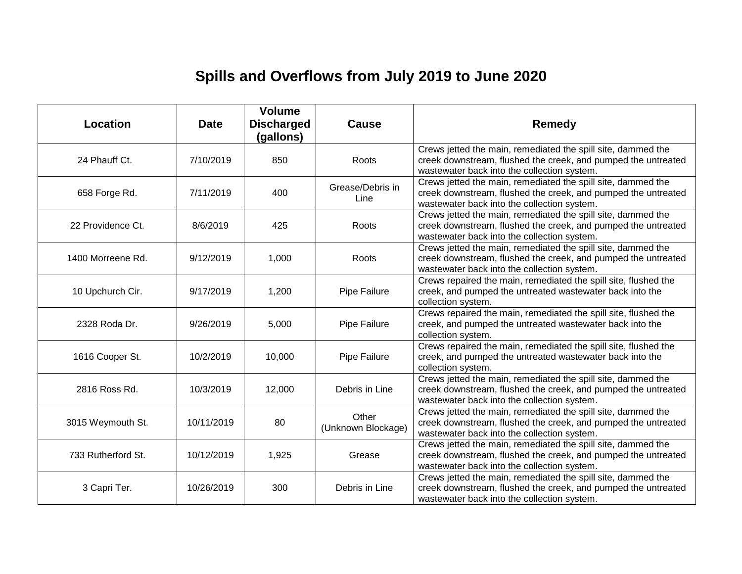# **Spills and Overflows from July 2019 to June 2020**

| Location           | <b>Date</b> | <b>Volume</b><br><b>Discharged</b><br>(gallons) | <b>Cause</b>                | <b>Remedy</b>                                                                                                                                                                |
|--------------------|-------------|-------------------------------------------------|-----------------------------|------------------------------------------------------------------------------------------------------------------------------------------------------------------------------|
| 24 Phauff Ct.      | 7/10/2019   | 850                                             | Roots                       | Crews jetted the main, remediated the spill site, dammed the<br>creek downstream, flushed the creek, and pumped the untreated<br>wastewater back into the collection system. |
| 658 Forge Rd.      | 7/11/2019   | 400                                             | Grease/Debris in<br>Line    | Crews jetted the main, remediated the spill site, dammed the<br>creek downstream, flushed the creek, and pumped the untreated<br>wastewater back into the collection system. |
| 22 Providence Ct.  | 8/6/2019    | 425                                             | Roots                       | Crews jetted the main, remediated the spill site, dammed the<br>creek downstream, flushed the creek, and pumped the untreated<br>wastewater back into the collection system. |
| 1400 Morreene Rd.  | 9/12/2019   | 1,000                                           | Roots                       | Crews jetted the main, remediated the spill site, dammed the<br>creek downstream, flushed the creek, and pumped the untreated<br>wastewater back into the collection system. |
| 10 Upchurch Cir.   | 9/17/2019   | 1,200                                           | Pipe Failure                | Crews repaired the main, remediated the spill site, flushed the<br>creek, and pumped the untreated wastewater back into the<br>collection system.                            |
| 2328 Roda Dr.      | 9/26/2019   | 5,000                                           | Pipe Failure                | Crews repaired the main, remediated the spill site, flushed the<br>creek, and pumped the untreated wastewater back into the<br>collection system.                            |
| 1616 Cooper St.    | 10/2/2019   | 10,000                                          | Pipe Failure                | Crews repaired the main, remediated the spill site, flushed the<br>creek, and pumped the untreated wastewater back into the<br>collection system.                            |
| 2816 Ross Rd.      | 10/3/2019   | 12,000                                          | Debris in Line              | Crews jetted the main, remediated the spill site, dammed the<br>creek downstream, flushed the creek, and pumped the untreated<br>wastewater back into the collection system. |
| 3015 Weymouth St.  | 10/11/2019  | 80                                              | Other<br>(Unknown Blockage) | Crews jetted the main, remediated the spill site, dammed the<br>creek downstream, flushed the creek, and pumped the untreated<br>wastewater back into the collection system. |
| 733 Rutherford St. | 10/12/2019  | 1,925                                           | Grease                      | Crews jetted the main, remediated the spill site, dammed the<br>creek downstream, flushed the creek, and pumped the untreated<br>wastewater back into the collection system. |
| 3 Capri Ter.       | 10/26/2019  | 300                                             | Debris in Line              | Crews jetted the main, remediated the spill site, dammed the<br>creek downstream, flushed the creek, and pumped the untreated<br>wastewater back into the collection system. |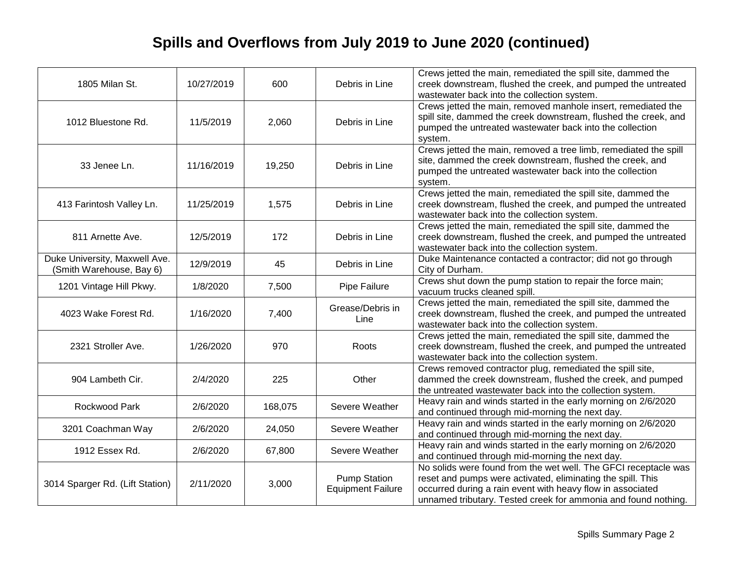# **Spills and Overflows from July 2019 to June 2020 (continued)**

| 1805 Milan St.                                            | 10/27/2019 | 600     | Debris in Line                                  | Crews jetted the main, remediated the spill site, dammed the<br>creek downstream, flushed the creek, and pumped the untreated<br>wastewater back into the collection system.                                                                                   |
|-----------------------------------------------------------|------------|---------|-------------------------------------------------|----------------------------------------------------------------------------------------------------------------------------------------------------------------------------------------------------------------------------------------------------------------|
| 1012 Bluestone Rd.                                        | 11/5/2019  | 2,060   | Debris in Line                                  | Crews jetted the main, removed manhole insert, remediated the<br>spill site, dammed the creek downstream, flushed the creek, and<br>pumped the untreated wastewater back into the collection<br>system.                                                        |
| 33 Jenee Ln.                                              | 11/16/2019 | 19,250  | Debris in Line                                  | Crews jetted the main, removed a tree limb, remediated the spill<br>site, dammed the creek downstream, flushed the creek, and<br>pumped the untreated wastewater back into the collection<br>system.                                                           |
| 413 Farintosh Valley Ln.                                  | 11/25/2019 | 1,575   | Debris in Line                                  | Crews jetted the main, remediated the spill site, dammed the<br>creek downstream, flushed the creek, and pumped the untreated<br>wastewater back into the collection system.                                                                                   |
| 811 Arnette Ave.                                          | 12/5/2019  | 172     | Debris in Line                                  | Crews jetted the main, remediated the spill site, dammed the<br>creek downstream, flushed the creek, and pumped the untreated<br>wastewater back into the collection system.                                                                                   |
| Duke University, Maxwell Ave.<br>(Smith Warehouse, Bay 6) | 12/9/2019  | 45      | Debris in Line                                  | Duke Maintenance contacted a contractor; did not go through<br>City of Durham.                                                                                                                                                                                 |
| 1201 Vintage Hill Pkwy.                                   | 1/8/2020   | 7,500   | Pipe Failure                                    | Crews shut down the pump station to repair the force main;<br>vacuum trucks cleaned spill.                                                                                                                                                                     |
| 4023 Wake Forest Rd.                                      | 1/16/2020  | 7,400   | Grease/Debris in<br>Line                        | Crews jetted the main, remediated the spill site, dammed the<br>creek downstream, flushed the creek, and pumped the untreated<br>wastewater back into the collection system.                                                                                   |
| 2321 Stroller Ave.                                        | 1/26/2020  | 970     | Roots                                           | Crews jetted the main, remediated the spill site, dammed the<br>creek downstream, flushed the creek, and pumped the untreated<br>wastewater back into the collection system.                                                                                   |
| 904 Lambeth Cir.                                          | 2/4/2020   | 225     | Other                                           | Crews removed contractor plug, remediated the spill site,<br>dammed the creek downstream, flushed the creek, and pumped<br>the untreated wastewater back into the collection system.                                                                           |
| Rockwood Park                                             | 2/6/2020   | 168,075 | Severe Weather                                  | Heavy rain and winds started in the early morning on 2/6/2020<br>and continued through mid-morning the next day.                                                                                                                                               |
| 3201 Coachman Way                                         | 2/6/2020   | 24,050  | Severe Weather                                  | Heavy rain and winds started in the early morning on 2/6/2020<br>and continued through mid-morning the next day.                                                                                                                                               |
| 1912 Essex Rd.                                            | 2/6/2020   | 67,800  | Severe Weather                                  | Heavy rain and winds started in the early morning on 2/6/2020<br>and continued through mid-morning the next day.                                                                                                                                               |
| 3014 Sparger Rd. (Lift Station)                           | 2/11/2020  | 3,000   | <b>Pump Station</b><br><b>Equipment Failure</b> | No solids were found from the wet well. The GFCI receptacle was<br>reset and pumps were activated, eliminating the spill. This<br>occurred during a rain event with heavy flow in associated<br>unnamed tributary. Tested creek for ammonia and found nothing. |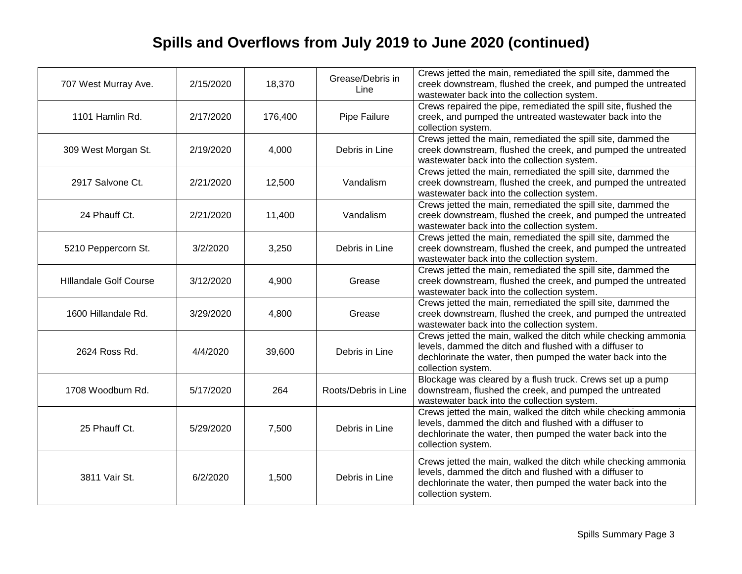# **Spills and Overflows from July 2019 to June 2020 (continued)**

| 707 West Murray Ave.          | 2/15/2020 | 18,370  | Grease/Debris in<br>Line | Crews jetted the main, remediated the spill site, dammed the<br>creek downstream, flushed the creek, and pumped the untreated<br>wastewater back into the collection system.                                   |
|-------------------------------|-----------|---------|--------------------------|----------------------------------------------------------------------------------------------------------------------------------------------------------------------------------------------------------------|
| 1101 Hamlin Rd.               | 2/17/2020 | 176,400 | Pipe Failure             | Crews repaired the pipe, remediated the spill site, flushed the<br>creek, and pumped the untreated wastewater back into the<br>collection system.                                                              |
| 309 West Morgan St.           | 2/19/2020 | 4,000   | Debris in Line           | Crews jetted the main, remediated the spill site, dammed the<br>creek downstream, flushed the creek, and pumped the untreated<br>wastewater back into the collection system.                                   |
| 2917 Salvone Ct.              | 2/21/2020 | 12,500  | Vandalism                | Crews jetted the main, remediated the spill site, dammed the<br>creek downstream, flushed the creek, and pumped the untreated<br>wastewater back into the collection system.                                   |
| 24 Phauff Ct.                 | 2/21/2020 | 11,400  | Vandalism                | Crews jetted the main, remediated the spill site, dammed the<br>creek downstream, flushed the creek, and pumped the untreated<br>wastewater back into the collection system.                                   |
| 5210 Peppercorn St.           | 3/2/2020  | 3,250   | Debris in Line           | Crews jetted the main, remediated the spill site, dammed the<br>creek downstream, flushed the creek, and pumped the untreated<br>wastewater back into the collection system.                                   |
| <b>Hillandale Golf Course</b> | 3/12/2020 | 4,900   | Grease                   | Crews jetted the main, remediated the spill site, dammed the<br>creek downstream, flushed the creek, and pumped the untreated<br>wastewater back into the collection system.                                   |
| 1600 Hillandale Rd.           | 3/29/2020 | 4,800   | Grease                   | Crews jetted the main, remediated the spill site, dammed the<br>creek downstream, flushed the creek, and pumped the untreated<br>wastewater back into the collection system.                                   |
| 2624 Ross Rd.                 | 4/4/2020  | 39,600  | Debris in Line           | Crews jetted the main, walked the ditch while checking ammonia<br>levels, dammed the ditch and flushed with a diffuser to<br>dechlorinate the water, then pumped the water back into the<br>collection system. |
| 1708 Woodburn Rd.             | 5/17/2020 | 264     | Roots/Debris in Line     | Blockage was cleared by a flush truck. Crews set up a pump<br>downstream, flushed the creek, and pumped the untreated<br>wastewater back into the collection system.                                           |
| 25 Phauff Ct.                 | 5/29/2020 | 7,500   | Debris in Line           | Crews jetted the main, walked the ditch while checking ammonia<br>levels, dammed the ditch and flushed with a diffuser to<br>dechlorinate the water, then pumped the water back into the<br>collection system. |
| 3811 Vair St.                 | 6/2/2020  | 1,500   | Debris in Line           | Crews jetted the main, walked the ditch while checking ammonia<br>levels, dammed the ditch and flushed with a diffuser to<br>dechlorinate the water, then pumped the water back into the<br>collection system. |